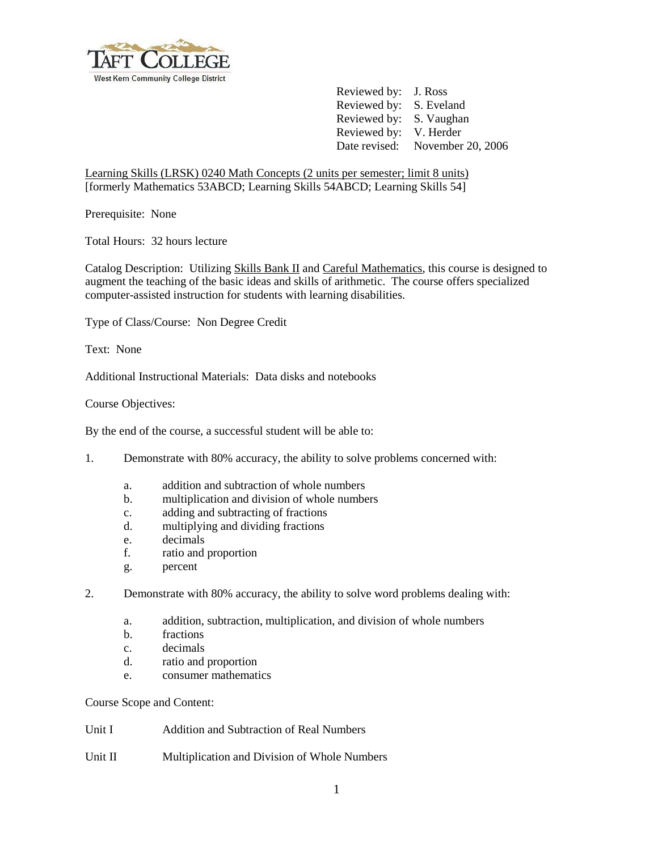

Reviewed by: J. Ross Reviewed by: S. Eveland Reviewed by: S. Vaughan Reviewed by: V. Herder Date revised: November 20, 2006

Learning Skills (LRSK) 0240 Math Concepts (2 units per semester; limit 8 units) [formerly Mathematics 53ABCD; Learning Skills 54ABCD; Learning Skills 54]

Prerequisite: None

Total Hours: 32 hours lecture

Catalog Description: Utilizing Skills Bank II and Careful Mathematics, this course is designed to augment the teaching of the basic ideas and skills of arithmetic. The course offers specialized computer-assisted instruction for students with learning disabilities.

Type of Class/Course: Non Degree Credit

Text: None

Additional Instructional Materials: Data disks and notebooks

Course Objectives:

By the end of the course, a successful student will be able to:

- 1. Demonstrate with 80% accuracy, the ability to solve problems concerned with:
	- a. addition and subtraction of whole numbers
	- b. multiplication and division of whole numbers
	- c. adding and subtracting of fractions
	- d. multiplying and dividing fractions
	- e. decimals
	- f. ratio and proportion
	- g. percent
- 2. Demonstrate with 80% accuracy, the ability to solve word problems dealing with:
	- a. addition, subtraction, multiplication, and division of whole numbers
	- b. fractions
	- c. decimals
	- d. ratio and proportion
	- e. consumer mathematics

Course Scope and Content:

Unit I Addition and Subtraction of Real Numbers

Unit II Multiplication and Division of Whole Numbers